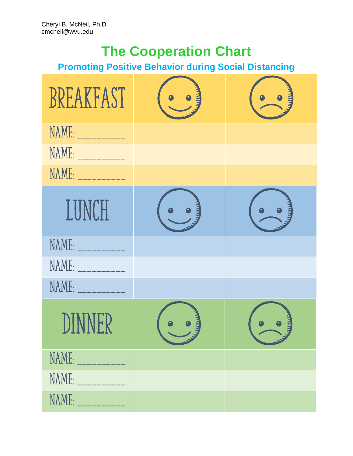# **The Cooperation Chart**

## **Promoting Positive Behavior during Social Distancing**

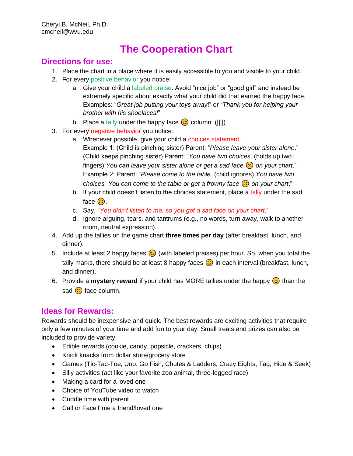### **The Cooperation Chart**

#### **Directions for use:**

- 1. Place the chart in a place where it is easily accessible to you and visible to your child.
- 2. For every positive behavior you notice:
	- a. Give your child a labeled praise. Avoid "nice job" or "good girl" and instead be extremely specific about exactly what your child did that earned the happy face. Examples: "*Great job putting your toys away*!" or "*Thank you for helping your brother with his shoelaces!*"
	- b. Place a tally under the happy face  $\odot$  column. (##)
- 3. For every negative behavior you notice:
	- a. Whenever possible, give your child a choices statement. Example 1: (Child is pinching sister) Parent: "*Please leave your sister alone*." (Child keeps pinching sister) Parent: "*You have two choices*. (holds up two fingers) *You can leave your sister alone or get a sad face*  $\left(\frac{1}{2}\right)$  on your chart." Example 2: Parent: "*Please come to the table.* (child ignores) *You have two choices. You can come to the table or get a frowny face*  $\left(\frac{1}{2}\right)$  *on your chart.*"
	- b. If your child doesn't listen to the choices statement, place a tally under the sad face  $\mathbb{R}$ .
	- c. Say, "*You didn't listen to me, so you get a sad face on your chart*."
	- d. Ignore arguing, tears, and tantrums (e.g., no words, turn away, walk to another room, neutral expression).
- 4. Add up the tallies on the game chart **three times per day** (after breakfast, lunch, and dinner).
- 5. Include at least 2 happy faces  $\odot$  (with labeled praises) per hour. So, when you total the tally marks, there should be at least 8 happy faces  $\odot$  in each interval (breakfast, lunch, and dinner).
- 6. Provide a **mystery reward** if your child has MORE tallies under the happy  $\odot$  than the sad  $\ddot{\boldsymbol{\cdot}$  face column.

#### **Ideas for Rewards:**

Rewards should be inexpensive and quick. The best rewards are exciting activities that require only a few minutes of your time and add fun to your day. Small treats and prizes can also be included to provide variety.

- Edible rewards (cookie, candy, popsicle, crackers, chips)
- Knick knacks from dollar store/grocery store
- Games (Tic-Tac-Toe, Uno, Go Fish, Chutes & Ladders, Crazy Eights, Tag, Hide & Seek)
- Silly activities (act like your favorite zoo animal, three-legged race)
- Making a card for a loved one
- Choice of YouTube video to watch
- Cuddle time with parent
- Call or FaceTime a friend/loved one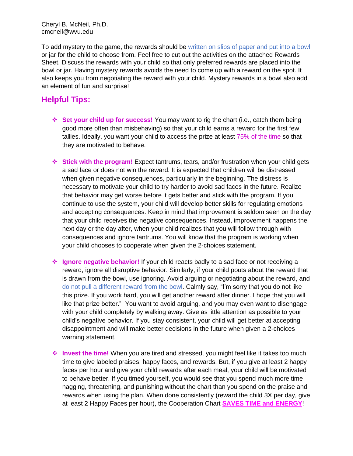Cheryl B. McNeil, Ph.D. cmcneil@wvu.edu

To add mystery to the game, the rewards should be written on slips of paper and put into a bowl or jar for the child to choose from. Feel free to cut out the activities on the attached Rewards Sheet. Discuss the rewards with your child so that only preferred rewards are placed into the bowl or jar. Having mystery rewards avoids the need to come up with a reward on the spot. It also keeps you from negotiating the reward with your child. Mystery rewards in a bowl also add an element of fun and surprise!

#### **Helpful Tips:**

- ❖ **Set your child up for success!** You may want to rig the chart (i.e., catch them being good more often than misbehaving) so that your child earns a reward for the first few tallies. Ideally, you want your child to access the prize at least 75% of the time so that they are motivated to behave.
- ❖ **Stick with the program!** Expect tantrums, tears, and/or frustration when your child gets a sad face or does not win the reward. It is expected that children will be distressed when given negative consequences, particularly in the beginning. The distress is necessary to motivate your child to try harder to avoid sad faces in the future. Realize that behavior may get worse before it gets better and stick with the program. If you continue to use the system, your child will develop better skills for regulating emotions and accepting consequences. Keep in mind that improvement is seldom seen on the day that your child receives the negative consequences. Instead, improvement happens the next day or the day after, when your child realizes that you will follow through with consequences and ignore tantrums. You will know that the program is working when your child chooses to cooperate when given the 2-choices statement.
- ❖ **Ignore negative behavior!** If your child reacts badly to a sad face or not receiving a reward, ignore all disruptive behavior. Similarly, if your child pouts about the reward that is drawn from the bowl, use ignoring. Avoid arguing or negotiating about the reward, and do not pull a different reward from the bowl. Calmly say, "I'm sorry that you do not like this prize. If you work hard, you will get another reward after dinner. I hope that you will like that prize better." You want to avoid arguing, and you may even want to disengage with your child completely by walking away. Give as little attention as possible to your child's negative behavior. If you stay consistent, your child will get better at accepting disappointment and will make better decisions in the future when given a 2-choices warning statement.
- ❖ **Invest the time!** When you are tired and stressed, you might feel like it takes too much time to give labeled praises, happy faces, and rewards. But, if you give at least 2 happy faces per hour and give your child rewards after each meal, your child will be motivated to behave better. If you timed yourself, you would see that you spend much more time nagging, threatening, and punishing without the chart than you spend on the praise and rewards when using the plan. When done consistently (reward the child 3X per day, give at least 2 Happy Faces per hour), the Cooperation Chart **SAVES TIME and ENERGY**!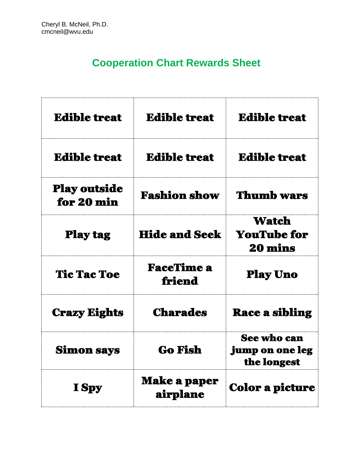## **Cooperation Chart Rewards Sheet**

| <b>Edible treat</b>               | <b>Edible treat</b>             | <b>Edible treat</b>                                  |
|-----------------------------------|---------------------------------|------------------------------------------------------|
| <b>Edible treat</b>               | <b>Edible treat</b>             | <b>Edible treat</b>                                  |
| <b>Play outside</b><br>for 20 min | <b>Fashion show</b>             | <b>Thumb wars</b>                                    |
| <b>Play tag</b>                   | <b>Hide and Seek</b>            | Watch<br><b>YouTube for</b><br><b>20 mins</b>        |
| <b>Tic Tac Toe</b>                | <b>FaceTime a</b><br>friend     | <b>Play Uno</b>                                      |
| <b>Crazy Eights</b>               | <b>Charades</b>                 | <b>Race a sibling</b>                                |
| <b>Simon says</b>                 | <b>Go Fish</b>                  | <b>See who can</b><br>jump on one leg<br>the longest |
| I Spy                             | <b>Make a paper</b><br>airplane | <b>Color a picture</b>                               |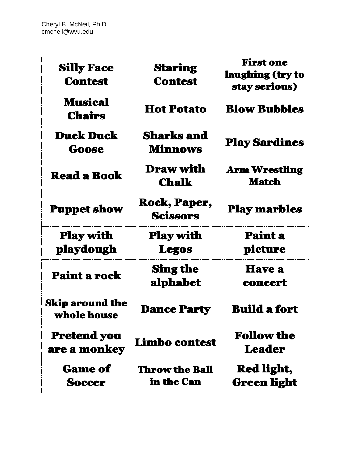| <b>Silly Face</b><br><b>Contest</b>   | <b>Staring</b><br><b>Contest</b>       | <b>First one</b><br>laughing (try to<br>stay serious) |
|---------------------------------------|----------------------------------------|-------------------------------------------------------|
| <b>Musical</b><br><b>Chairs</b>       | <b>Hot Potato</b>                      | <b>Blow Bubbles</b>                                   |
| <b>Duck Duck</b><br>Goose             | <b>Sharks and</b><br><b>Minnows</b>    | <b>Play Sardines</b>                                  |
| <b>Read a Book</b>                    | <b>Draw with</b><br><b>Chalk</b>       | <b>Arm Wrestling</b><br><b>Match</b>                  |
| <b>Puppet show</b>                    | <b>Rock, Paper,</b><br><b>Scissors</b> | <b>Play marbles</b>                                   |
| <b>Play with</b><br>playdough         | <b>Play with</b><br><b>Legos</b>       | <b>Paint a</b><br>picture                             |
| Paint a rock                          | <b>Sing the</b><br>alphabet            | <b>Have a</b><br>concert                              |
| <b>Skip around the</b><br>whole house | <b>Dance Party</b>                     | <b>Build a fort</b>                                   |
| <b>Pretend you</b><br>are a monkey    | Limbo contest                          | <b>Follow the</b><br><b>Leader</b>                    |
| <b>Game of</b><br><b>Soccer</b>       | <b>Throw the Ball</b><br>in the Can    | <b>Red light,</b><br><b>Green light</b>               |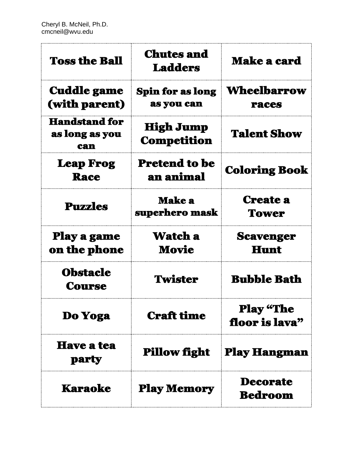| <b>Toss the Ball</b>                          | <b>Chutes and</b><br><b>Ladders</b>    | <b>Make a card</b>                 |
|-----------------------------------------------|----------------------------------------|------------------------------------|
| <b>Cuddle game</b><br>(with parent)           | <b>Spin for as long</b><br>as you can  | <b>Wheelbarrow</b><br><b>races</b> |
| <b>Handstand for</b><br>as long as you<br>can | <b>High Jump</b><br><b>Competition</b> | <b>Talent Show</b>                 |
| <b>Leap Frog</b><br><b>Race</b>               | <b>Pretend to be</b><br>an animal      | <b>Coloring Book</b>               |
| <b>Puzzles</b>                                | <b>Make a</b><br>superhero mask        | <b>Create a</b><br><b>Tower</b>    |
| Play a game<br>on the phone                   | Watch a<br>Movie                       | <b>Scavenger</b><br><b>Hunt</b>    |
| <b>Obstacle</b><br><b>Course</b>              | <b>Twister</b>                         | <b>Bubble Bath</b>                 |
| Do Yoga                                       | <b>Craft time</b>                      | <b>Play "The</b><br>floor is lava" |
| <b>Have a tea</b><br><b>party</b>             | <b>Pillow fight</b>                    | <b>Play Hangman</b>                |
| <b>Karaoke</b>                                | <b>Play Memory</b>                     | <b>Decorate</b><br><b>Bedroom</b>  |